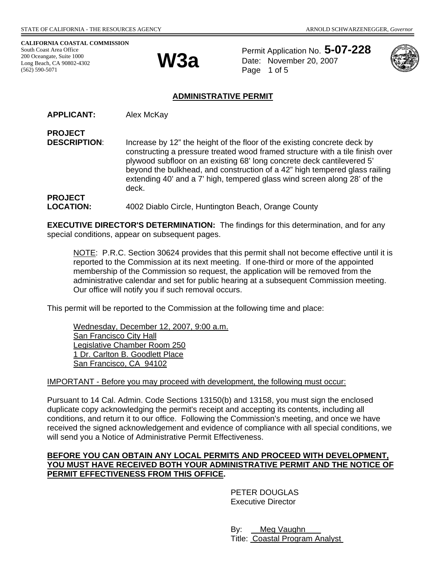**CALIFORNIA COASTAL COMMISSION**  South Coast Area Office 200 Oceangate, Suite 1000 Long Beach, CA 90802-4302<br>(562) 590-5071



Permit Application No. **5-07-228** Date: November 20, 2007 Page 1 of 5



## **ADMINISTRATIVE PERMIT**

**APPLICANT:** Alex McKay

**PROJECT DESCRIPTION:** Increase by 12" the height of the floor of the existing concrete deck by constructing a pressure treated wood framed structure with a tile finish over plywood subfloor on an existing 68' long concrete deck cantilevered 5' beyond the bulkhead, and construction of a 42" high tempered glass railing extending 40' and a 7' high, tempered glass wind screen along 28' of the deck.

**PROJECT**  LOCATION: 4002 Diablo Circle, Huntington Beach, Orange County

**EXECUTIVE DIRECTOR'S DETERMINATION:** The findings for this determination, and for any special conditions, appear on subsequent pages.

NOTE: P.R.C. Section 30624 provides that this permit shall not become effective until it is reported to the Commission at its next meeting. If one-third or more of the appointed membership of the Commission so request, the application will be removed from the administrative calendar and set for public hearing at a subsequent Commission meeting. Our office will notify you if such removal occurs.

This permit will be reported to the Commission at the following time and place:

Wednesday, December 12, 2007, 9:00 a.m. San Francisco City Hall Legislative Chamber Room 250 1 Dr. Carlton B. Goodlett Place San Francisco, CA 94102

IMPORTANT - Before you may proceed with development, the following must occur:

Pursuant to 14 Cal. Admin. Code Sections 13150(b) and 13158, you must sign the enclosed duplicate copy acknowledging the permit's receipt and accepting its contents, including all conditions, and return it to our office. Following the Commission's meeting, and once we have received the signed acknowledgement and evidence of compliance with all special conditions, we will send you a Notice of Administrative Permit Effectiveness.

#### **BEFORE YOU CAN OBTAIN ANY LOCAL PERMITS AND PROCEED WITH DEVELOPMENT, YOU MUST HAVE RECEIVED BOTH YOUR ADMINISTRATIVE PERMIT AND THE NOTICE OF PERMIT EFFECTIVENESS FROM THIS OFFICE.**

 PETER DOUGLAS Executive Director

 By: Meg Vaughn Title: Coastal Program Analyst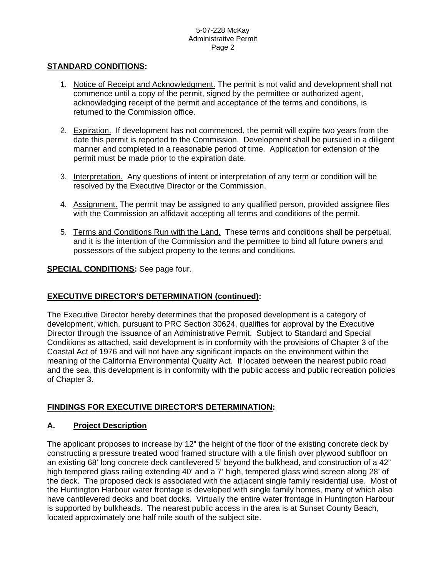### **STANDARD CONDITIONS:**

- 1. Notice of Receipt and Acknowledgment. The permit is not valid and development shall not commence until a copy of the permit, signed by the permittee or authorized agent, acknowledging receipt of the permit and acceptance of the terms and conditions, is returned to the Commission office.
- 2. Expiration. If development has not commenced, the permit will expire two years from the date this permit is reported to the Commission. Development shall be pursued in a diligent manner and completed in a reasonable period of time. Application for extension of the permit must be made prior to the expiration date.
- 3. Interpretation. Any questions of intent or interpretation of any term or condition will be resolved by the Executive Director or the Commission.
- 4. Assignment. The permit may be assigned to any qualified person, provided assignee files with the Commission an affidavit accepting all terms and conditions of the permit.
- 5. Terms and Conditions Run with the Land. These terms and conditions shall be perpetual, and it is the intention of the Commission and the permittee to bind all future owners and possessors of the subject property to the terms and conditions.

#### **SPECIAL CONDITIONS:** See page four.

### **EXECUTIVE DIRECTOR'S DETERMINATION (continued):**

The Executive Director hereby determines that the proposed development is a category of development, which, pursuant to PRC Section 30624, qualifies for approval by the Executive Director through the issuance of an Administrative Permit. Subject to Standard and Special Conditions as attached, said development is in conformity with the provisions of Chapter 3 of the Coastal Act of 1976 and will not have any significant impacts on the environment within the meaning of the California Environmental Quality Act. If located between the nearest public road and the sea, this development is in conformity with the public access and public recreation policies of Chapter 3.

### **FINDINGS FOR EXECUTIVE DIRECTOR'S DETERMINATION:**

#### **A. Project Description**

The applicant proposes to increase by 12" the height of the floor of the existing concrete deck by constructing a pressure treated wood framed structure with a tile finish over plywood subfloor on an existing 68' long concrete deck cantilevered 5' beyond the bulkhead, and construction of a 42" high tempered glass railing extending 40' and a 7' high, tempered glass wind screen along 28' of the deck. The proposed deck is associated with the adjacent single family residential use. Most of the Huntington Harbour water frontage is developed with single family homes, many of which also have cantilevered decks and boat docks. Virtually the entire water frontage in Huntington Harbour is supported by bulkheads. The nearest public access in the area is at Sunset County Beach, located approximately one half mile south of the subject site.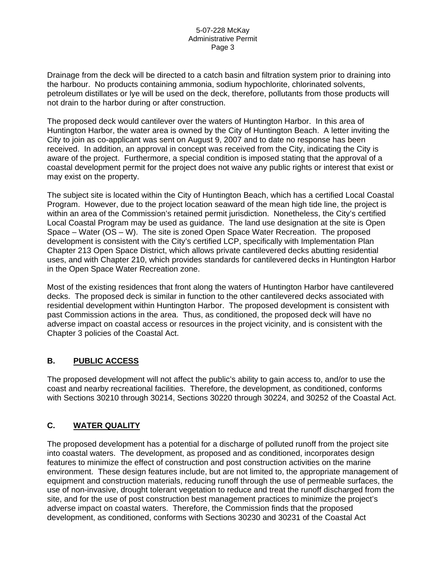Drainage from the deck will be directed to a catch basin and filtration system prior to draining into the harbour. No products containing ammonia, sodium hypochlorite, chlorinated solvents, petroleum distillates or lye will be used on the deck, therefore, pollutants from those products will not drain to the harbor during or after construction.

The proposed deck would cantilever over the waters of Huntington Harbor. In this area of Huntington Harbor, the water area is owned by the City of Huntington Beach. A letter inviting the City to join as co-applicant was sent on August 9, 2007 and to date no response has been received. In addition, an approval in concept was received from the City, indicating the City is aware of the project. Furthermore, a special condition is imposed stating that the approval of a coastal development permit for the project does not waive any public rights or interest that exist or may exist on the property.

The subject site is located within the City of Huntington Beach, which has a certified Local Coastal Program. However, due to the project location seaward of the mean high tide line, the project is within an area of the Commission's retained permit jurisdiction. Nonetheless, the City's certified Local Coastal Program may be used as guidance. The land use designation at the site is Open Space – Water (OS – W). The site is zoned Open Space Water Recreation. The proposed development is consistent with the City's certified LCP, specifically with Implementation Plan Chapter 213 Open Space District, which allows private cantilevered decks abutting residential uses, and with Chapter 210, which provides standards for cantilevered decks in Huntington Harbor in the Open Space Water Recreation zone.

Most of the existing residences that front along the waters of Huntington Harbor have cantilevered decks. The proposed deck is similar in function to the other cantilevered decks associated with residential development within Huntington Harbor. The proposed development is consistent with past Commission actions in the area. Thus, as conditioned, the proposed deck will have no adverse impact on coastal access or resources in the project vicinity, and is consistent with the Chapter 3 policies of the Coastal Act.

# **B. PUBLIC ACCESS**

The proposed development will not affect the public's ability to gain access to, and/or to use the coast and nearby recreational facilities. Therefore, the development, as conditioned, conforms with Sections 30210 through 30214, Sections 30220 through 30224, and 30252 of the Coastal Act.

# **C. WATER QUALITY**

The proposed development has a potential for a discharge of polluted runoff from the project site into coastal waters. The development, as proposed and as conditioned, incorporates design features to minimize the effect of construction and post construction activities on the marine environment. These design features include, but are not limited to, the appropriate management of equipment and construction materials, reducing runoff through the use of permeable surfaces, the use of non-invasive, drought tolerant vegetation to reduce and treat the runoff discharged from the site, and for the use of post construction best management practices to minimize the project's adverse impact on coastal waters. Therefore, the Commission finds that the proposed development, as conditioned, conforms with Sections 30230 and 30231 of the Coastal Act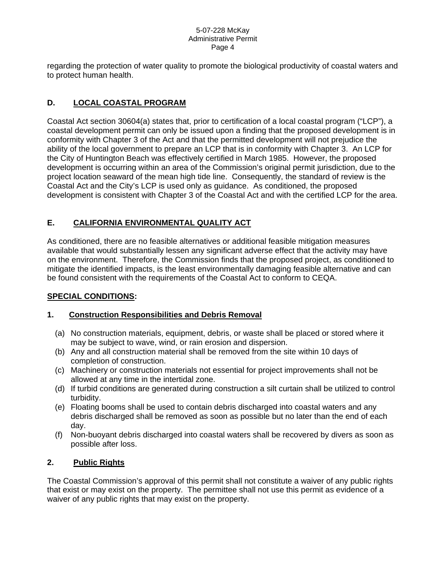regarding the protection of water quality to promote the biological productivity of coastal waters and to protect human health.

# **D. LOCAL COASTAL PROGRAM**

Coastal Act section 30604(a) states that, prior to certification of a local coastal program ("LCP"), a coastal development permit can only be issued upon a finding that the proposed development is in conformity with Chapter 3 of the Act and that the permitted development will not prejudice the ability of the local government to prepare an LCP that is in conformity with Chapter 3. An LCP for the City of Huntington Beach was effectively certified in March 1985. However, the proposed development is occurring within an area of the Commission's original permit jurisdiction, due to the project location seaward of the mean high tide line. Consequently, the standard of review is the Coastal Act and the City's LCP is used only as guidance. As conditioned, the proposed development is consistent with Chapter 3 of the Coastal Act and with the certified LCP for the area.

# **E. CALIFORNIA ENVIRONMENTAL QUALITY ACT**

As conditioned, there are no feasible alternatives or additional feasible mitigation measures available that would substantially lessen any significant adverse effect that the activity may have on the environment. Therefore, the Commission finds that the proposed project, as conditioned to mitigate the identified impacts, is the least environmentally damaging feasible alternative and can be found consistent with the requirements of the Coastal Act to conform to CEQA.

# **SPECIAL CONDITIONS:**

# **1. Construction Responsibilities and Debris Removal**

- (a) No construction materials, equipment, debris, or waste shall be placed or stored where it may be subject to wave, wind, or rain erosion and dispersion.
- (b) Any and all construction material shall be removed from the site within 10 days of completion of construction.
- (c) Machinery or construction materials not essential for project improvements shall not be allowed at any time in the intertidal zone.
- (d) If turbid conditions are generated during construction a silt curtain shall be utilized to control turbidity.
- (e) Floating booms shall be used to contain debris discharged into coastal waters and any debris discharged shall be removed as soon as possible but no later than the end of each day.
- (f) Non-buoyant debris discharged into coastal waters shall be recovered by divers as soon as possible after loss.

### **2. Public Rights**

The Coastal Commission's approval of this permit shall not constitute a waiver of any public rights that exist or may exist on the property. The permittee shall not use this permit as evidence of a waiver of any public rights that may exist on the property.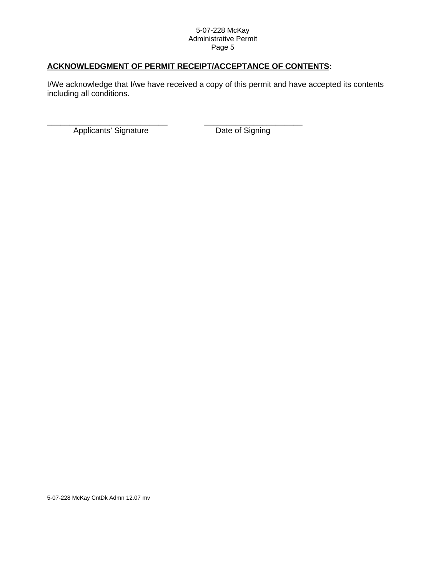# **ACKNOWLEDGMENT OF PERMIT RECEIPT/ACCEPTANCE OF CONTENTS:**

I/We acknowledge that I/we have received a copy of this permit and have accepted its contents including all conditions.

Applicants' Signature Date of Signing

\_\_\_\_\_\_\_\_\_\_\_\_\_\_\_\_\_\_\_\_\_\_\_\_\_\_\_ \_\_\_\_\_\_\_\_\_\_\_\_\_\_\_\_\_\_\_\_\_\_

5-07-228 McKay CntDk Admn 12.07 mv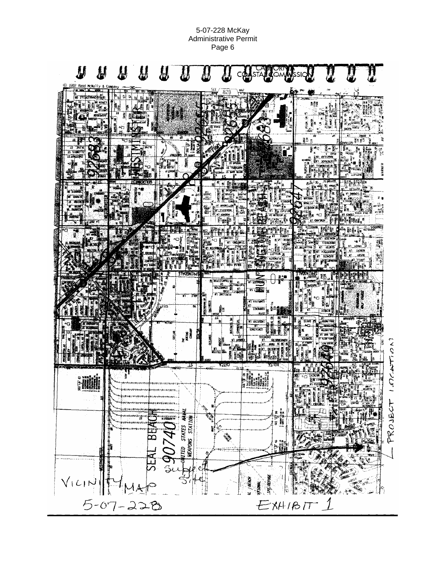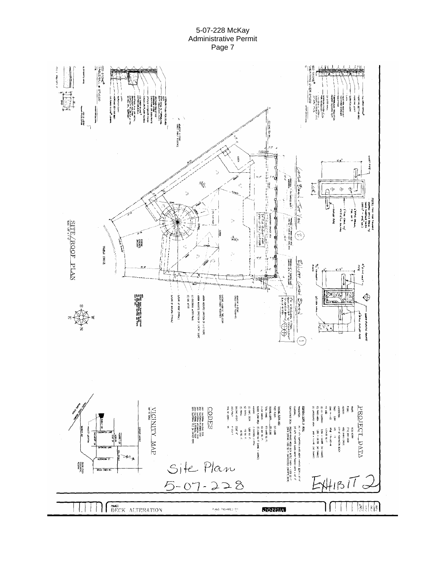